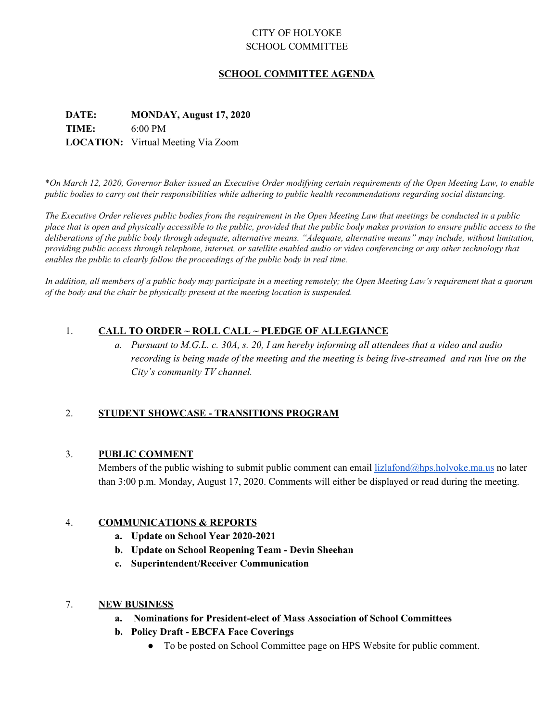# CITY OF HOLYOKE SCHOOL COMMITTEE

# **SCHOOL COMMITTEE AGENDA**

# **DATE: MONDAY, August 17, 2020 TIME:** 6:00 PM **LOCATION:** Virtual Meeting Via Zoom

\*On March 12, 2020, Governor Baker issued an Executive Order modifying certain requirements of the Open Meeting Law, to enable public bodies to carry out their responsibilities while adhering to public health recommendations regarding social distancing.

The Executive Order relieves public bodies from the requirement in the Open Meeting Law that meetings be conducted in a public place that is open and physically accessible to the public, provided that the public body makes provision to ensure public access to the deliberations of the public body through adequate, alternative means. "Adequate, alternative means" may include, without limitation, providing public access through telephone, internet, or satellite enabled audio or video conferencing or any other technology that *enables the public to clearly follow the proceedings of the public body in real time.*

In addition, all members of a public body may participate in a meeting remotely; the Open Meeting Law's requirement that a quorum *of the body and the chair be physically present at the meeting location is suspended.*

# 1. **CALL TO ORDER ~ ROLL CALL ~ PLEDGE OF ALLEGIANCE**

a. Pursuant to M.G.L. c. 30A, s. 20, I am hereby informing all attendees that a video and audio *recording is being made of the meeting and the meeting is being live-streamed and run live on the City's community TV channel.*

# 2. **STUDENT SHOWCASE - TRANSITIONS PROGRAM**

# 3. **PUBLIC COMMENT**

Members of the public wishing to submit public comment can email lizlafond $\omega$ hps.holyoke.ma.us no later than 3:00 p.m. Monday, August 17, 2020. Comments will either be displayed or read during the meeting.

# 4. **COMMUNICATIONS & REPORTS**

- **a. Update on School Year 2020-2021**
- **b. Update on School Reopening Team - Devin Sheehan**
- **c. Superintendent/Receiver Communication**

#### 7. **NEW BUSINESS**

- **a. Nominations for President-elect of Mass Association of School Committees**
- **b. Policy Draft - EBCFA Face Coverings**
	- To be posted on School Committee page on HPS Website for public comment.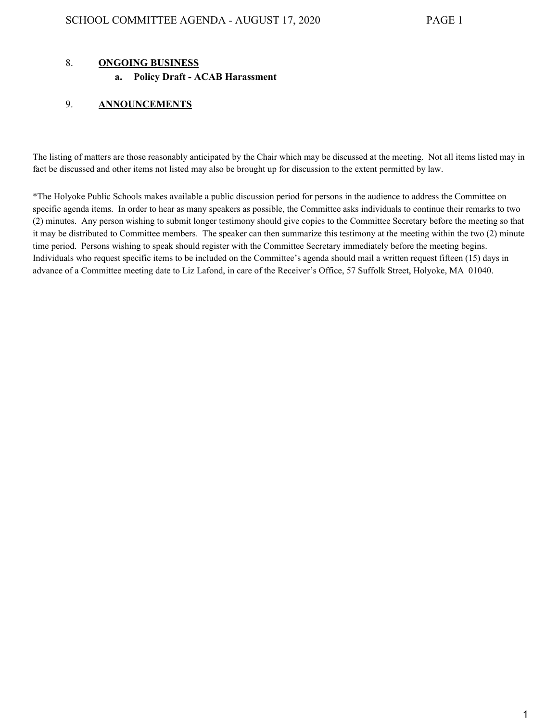## 8. **ONGOING BUSINESS**

#### **a. Policy Draft - ACAB Harassment**

#### 9. **ANNOUNCEMENTS**

The listing of matters are those reasonably anticipated by the Chair which may be discussed at the meeting. Not all items listed may in fact be discussed and other items not listed may also be brought up for discussion to the extent permitted by law.

\*The Holyoke Public Schools makes available a public discussion period for persons in the audience to address the Committee on specific agenda items. In order to hear as many speakers as possible, the Committee asks individuals to continue their remarks to two (2) minutes. Any person wishing to submit longer testimony should give copies to the Committee Secretary before the meeting so that it may be distributed to Committee members. The speaker can then summarize this testimony at the meeting within the two (2) minute time period. Persons wishing to speak should register with the Committee Secretary immediately before the meeting begins. Individuals who request specific items to be included on the Committee's agenda should mail a written request fifteen (15) days in advance of a Committee meeting date to Liz Lafond, in care of the Receiver's Office, 57 Suffolk Street, Holyoke, MA 01040.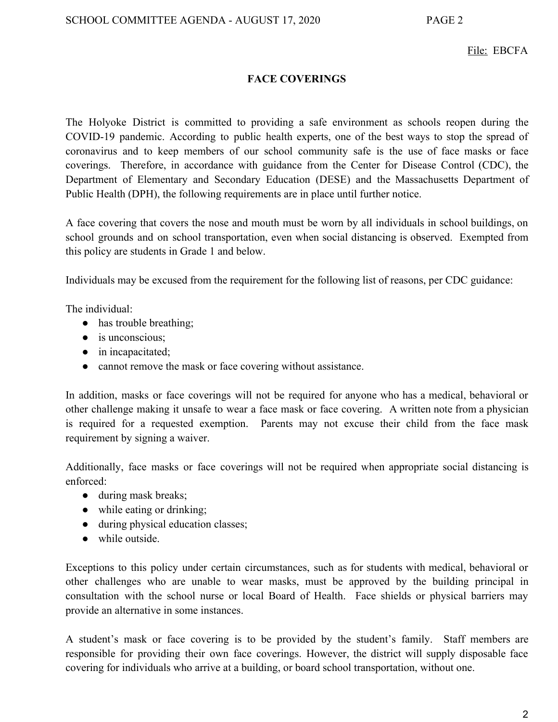# File: EBCFA

# **FACE COVERINGS**

The Holyoke District is committed to providing a safe environment as schools reopen during the COVID-19 pandemic. According to public health experts, one of the best ways to stop the spread of coronavirus and to keep members of our school community safe is the use of face masks or face coverings. Therefore, in accordance with guidance from the Center for Disease Control (CDC), the Department of Elementary and Secondary Education (DESE) and the Massachusetts Department of Public Health (DPH), the following requirements are in place until further notice.

A face covering that covers the nose and mouth must be worn by all individuals in school buildings, on school grounds and on school transportation, even when social distancing is observed. Exempted from this policy are students in Grade 1 and below.

Individuals may be excused from the requirement for the following list of reasons, per CDC guidance:

The individual:

- has trouble breathing;
- $\bullet$  is unconscious;
- in incapacitated;
- cannot remove the mask or face covering without assistance.

In addition, masks or face coverings will not be required for anyone who has a medical, behavioral or other challenge making it unsafe to wear a face mask or face covering. A written note from a physician is required for a requested exemption. Parents may not excuse their child from the face mask requirement by signing a waiver.

Additionally, face masks or face coverings will not be required when appropriate social distancing is enforced:

- during mask breaks;
- while eating or drinking;
- during physical education classes;
- $\bullet$  while outside

Exceptions to this policy under certain circumstances, such as for students with medical, behavioral or other challenges who are unable to wear masks, must be approved by the building principal in consultation with the school nurse or local Board of Health. Face shields or physical barriers may provide an alternative in some instances.

A student's mask or face covering is to be provided by the student's family. Staff members are responsible for providing their own face coverings. However, the district will supply disposable face covering for individuals who arrive at a building, or board school transportation, without one.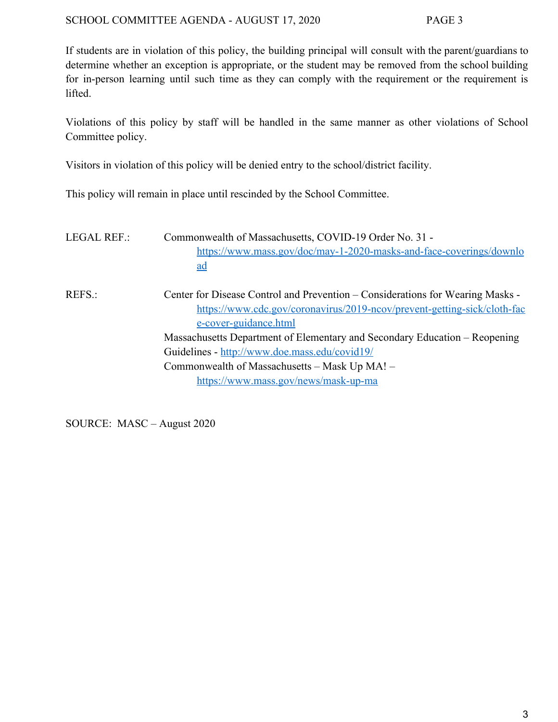If students are in violation of this policy, the building principal will consult with the parent/guardians to determine whether an exception is appropriate, or the student may be removed from the school building for in-person learning until such time as they can comply with the requirement or the requirement is lifted.

Violations of this policy by staff will be handled in the same manner as other violations of School Committee policy.

Visitors in violation of this policy will be denied entry to the school/district facility.

This policy will remain in place until rescinded by the School Committee.

| <b>LEGAL REF.:</b> | Commonwealth of Massachusetts, COVID-19 Order No. 31 -<br>https://www.mass.gov/doc/may-1-2020-masks-and-face-coverings/downlo<br><u>ad</u>                                                                                                                                                                                                                                                                  |
|--------------------|-------------------------------------------------------------------------------------------------------------------------------------------------------------------------------------------------------------------------------------------------------------------------------------------------------------------------------------------------------------------------------------------------------------|
| REFS.:             | Center for Disease Control and Prevention – Considerations for Wearing Masks -<br>https://www.cdc.gov/coronavirus/2019-ncov/prevent-getting-sick/cloth-fac<br>e-cover-guidance.html<br>Massachusetts Department of Elementary and Secondary Education – Reopening<br>Guidelines - http://www.doe.mass.edu/covid19/<br>Commonwealth of Massachusetts – Mask Up MA! –<br>https://www.mass.gov/news/mask-up-ma |

SOURCE: MASC – August 2020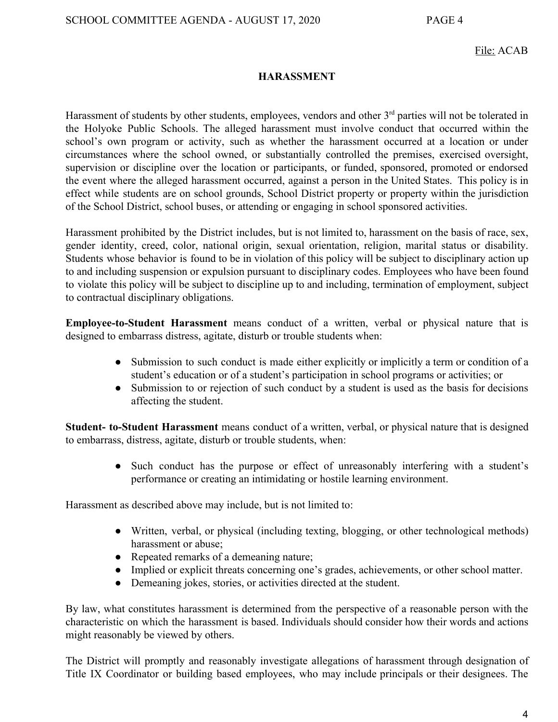# File: ACAB

# **HARASSMENT**

Harassment of students by other students, employees, vendors and other 3<sup>rd</sup> parties will not be tolerated in the Holyoke Public Schools. The alleged harassment must involve conduct that occurred within the school's own program or activity, such as whether the harassment occurred at a location or under circumstances where the school owned, or substantially controlled the premises, exercised oversight, supervision or discipline over the location or participants, or funded, sponsored, promoted or endorsed the event where the alleged harassment occurred, against a person in the United States. This policy is in effect while students are on school grounds, School District property or property within the jurisdiction of the School District, school buses, or attending or engaging in school sponsored activities.

Harassment prohibited by the District includes, but is not limited to, harassment on the basis of race, sex, gender identity, creed, color, national origin, sexual orientation, religion, marital status or disability. Students whose behavior is found to be in violation of this policy will be subject to disciplinary action up to and including suspension or expulsion pursuant to disciplinary codes. Employees who have been found to violate this policy will be subject to discipline up to and including, termination of employment, subject to contractual disciplinary obligations.

**Employee-to-Student Harassment** means conduct of a written, verbal or physical nature that is designed to embarrass distress, agitate, disturb or trouble students when:

- Submission to such conduct is made either explicitly or implicitly a term or condition of a student's education or of a student's participation in school programs or activities; or
- Submission to or rejection of such conduct by a student is used as the basis for decisions affecting the student.

**Student- to-Student Harassment** means conduct of a written, verbal, or physical nature that is designed to embarrass, distress, agitate, disturb or trouble students, when:

> ● Such conduct has the purpose or effect of unreasonably interfering with a student's performance or creating an intimidating or hostile learning environment.

Harassment as described above may include, but is not limited to:

- Written, verbal, or physical (including texting, blogging, or other technological methods) harassment or abuse;
- Repeated remarks of a demeaning nature;
- Implied or explicit threats concerning one's grades, achievements, or other school matter.
- Demeaning jokes, stories, or activities directed at the student.

By law, what constitutes harassment is determined from the perspective of a reasonable person with the characteristic on which the harassment is based. Individuals should consider how their words and actions might reasonably be viewed by others.

The District will promptly and reasonably investigate allegations of harassment through designation of Title IX Coordinator or building based employees, who may include principals or their designees. The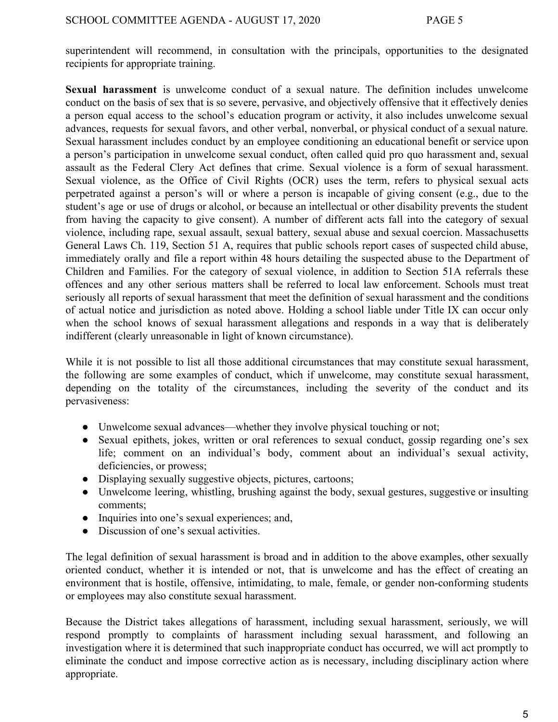superintendent will recommend, in consultation with the principals, opportunities to the designated recipients for appropriate training.

**Sexual harassment** is unwelcome conduct of a sexual nature. The definition includes unwelcome conduct on the basis of sex that is so severe, pervasive, and objectively offensive that it effectively denies a person equal access to the school's education program or activity, it also includes unwelcome sexual advances, requests for sexual favors, and other verbal, nonverbal, or physical conduct of a sexual nature. Sexual harassment includes conduct by an employee conditioning an educational benefit or service upon a person's participation in unwelcome sexual conduct, often called quid pro quo harassment and, sexual assault as the Federal Clery Act defines that crime. Sexual violence is a form of sexual harassment. Sexual violence, as the Office of Civil Rights (OCR) uses the term, refers to physical sexual acts perpetrated against a person's will or where a person is incapable of giving consent (e.g., due to the student's age or use of drugs or alcohol, or because an intellectual or other disability prevents the student from having the capacity to give consent). A number of different acts fall into the category of sexual violence, including rape, sexual assault, sexual battery, sexual abuse and sexual coercion. Massachusetts General Laws Ch. 119, Section 51 A, requires that public schools report cases of suspected child abuse, immediately orally and file a report within 48 hours detailing the suspected abuse to the Department of Children and Families. For the category of sexual violence, in addition to Section 51A referrals these offences and any other serious matters shall be referred to local law enforcement. Schools must treat seriously all reports of sexual harassment that meet the definition of sexual harassment and the conditions of actual notice and jurisdiction as noted above. Holding a school liable under Title IX can occur only when the school knows of sexual harassment allegations and responds in a way that is deliberately indifferent (clearly unreasonable in light of known circumstance).

While it is not possible to list all those additional circumstances that may constitute sexual harassment, the following are some examples of conduct, which if unwelcome, may constitute sexual harassment, depending on the totality of the circumstances, including the severity of the conduct and its pervasiveness:

- Unwelcome sexual advances—whether they involve physical touching or not;
- Sexual epithets, jokes, written or oral references to sexual conduct, gossip regarding one's sex life; comment on an individual's body, comment about an individual's sexual activity, deficiencies, or prowess;
- Displaying sexually suggestive objects, pictures, cartoons;
- Unwelcome leering, whistling, brushing against the body, sexual gestures, suggestive or insulting comments;
- Inquiries into one's sexual experiences; and,
- Discussion of one's sexual activities.

The legal definition of sexual harassment is broad and in addition to the above examples, other sexually oriented conduct, whether it is intended or not, that is unwelcome and has the effect of creating an environment that is hostile, offensive, intimidating, to male, female, or gender non-conforming students or employees may also constitute sexual harassment.

Because the District takes allegations of harassment, including sexual harassment, seriously, we will respond promptly to complaints of harassment including sexual harassment, and following an investigation where it is determined that such inappropriate conduct has occurred, we will act promptly to eliminate the conduct and impose corrective action as is necessary, including disciplinary action where appropriate.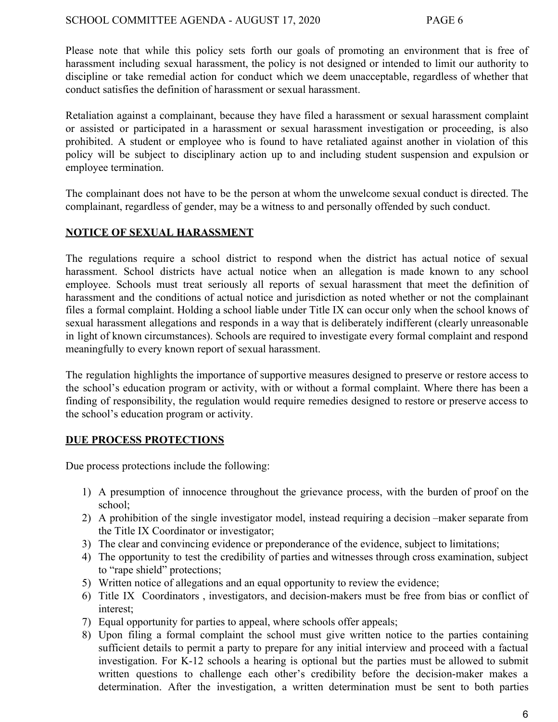Please note that while this policy sets forth our goals of promoting an environment that is free of harassment including sexual harassment, the policy is not designed or intended to limit our authority to discipline or take remedial action for conduct which we deem unacceptable, regardless of whether that conduct satisfies the definition of harassment or sexual harassment.

Retaliation against a complainant, because they have filed a harassment or sexual harassment complaint or assisted or participated in a harassment or sexual harassment investigation or proceeding, is also prohibited. A student or employee who is found to have retaliated against another in violation of this policy will be subject to disciplinary action up to and including student suspension and expulsion or employee termination.

The complainant does not have to be the person at whom the unwelcome sexual conduct is directed. The complainant, regardless of gender, may be a witness to and personally offended by such conduct.

# **NOTICE OF SEXUAL HARASSMENT**

The regulations require a school district to respond when the district has actual notice of sexual harassment. School districts have actual notice when an allegation is made known to any school employee. Schools must treat seriously all reports of sexual harassment that meet the definition of harassment and the conditions of actual notice and jurisdiction as noted whether or not the complainant files a formal complaint. Holding a school liable under Title IX can occur only when the school knows of sexual harassment allegations and responds in a way that is deliberately indifferent (clearly unreasonable in light of known circumstances). Schools are required to investigate every formal complaint and respond meaningfully to every known report of sexual harassment.

The regulation highlights the importance of supportive measures designed to preserve or restore access to the school's education program or activity, with or without a formal complaint. Where there has been a finding of responsibility, the regulation would require remedies designed to restore or preserve access to the school's education program or activity.

# **DUE PROCESS PROTECTIONS**

Due process protections include the following:

- 1) A presumption of innocence throughout the grievance process, with the burden of proof on the school;
- 2) A prohibition of the single investigator model, instead requiring a decision –maker separate from the Title IX Coordinator or investigator;
- 3) The clear and convincing evidence or preponderance of the evidence, subject to limitations;
- 4) The opportunity to test the credibility of parties and witnesses through cross examination, subject to "rape shield" protections;
- 5) Written notice of allegations and an equal opportunity to review the evidence;
- 6) Title IX Coordinators , investigators, and decision-makers must be free from bias or conflict of interest;
- 7) Equal opportunity for parties to appeal, where schools offer appeals;
- 8) Upon filing a formal complaint the school must give written notice to the parties containing sufficient details to permit a party to prepare for any initial interview and proceed with a factual investigation. For K-12 schools a hearing is optional but the parties must be allowed to submit written questions to challenge each other's credibility before the decision-maker makes a determination. After the investigation, a written determination must be sent to both parties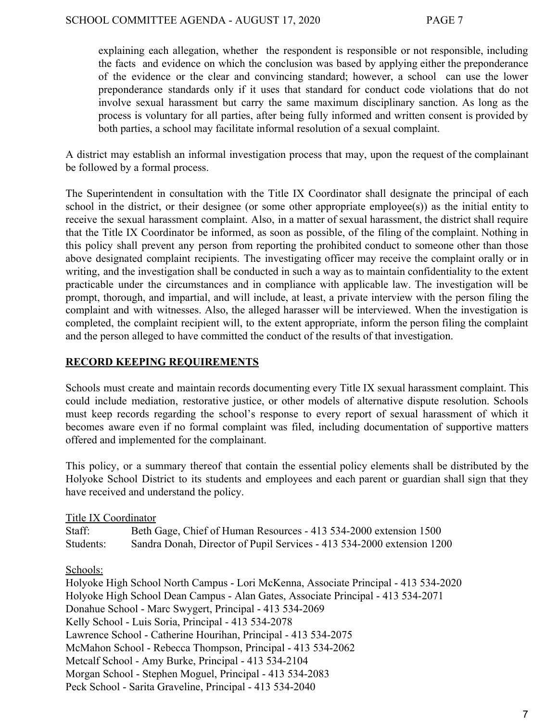explaining each allegation, whether the respondent is responsible or not responsible, including the facts and evidence on which the conclusion was based by applying either the preponderance of the evidence or the clear and convincing standard; however, a school can use the lower preponderance standards only if it uses that standard for conduct code violations that do not involve sexual harassment but carry the same maximum disciplinary sanction. As long as the process is voluntary for all parties, after being fully informed and written consent is provided by both parties, a school may facilitate informal resolution of a sexual complaint.

A district may establish an informal investigation process that may, upon the request of the complainant be followed by a formal process.

The Superintendent in consultation with the Title IX Coordinator shall designate the principal of each school in the district, or their designee (or some other appropriate employee(s)) as the initial entity to receive the sexual harassment complaint. Also, in a matter of sexual harassment, the district shall require that the Title IX Coordinator be informed, as soon as possible, of the filing of the complaint. Nothing in this policy shall prevent any person from reporting the prohibited conduct to someone other than those above designated complaint recipients. The investigating officer may receive the complaint orally or in writing, and the investigation shall be conducted in such a way as to maintain confidentiality to the extent practicable under the circumstances and in compliance with applicable law. The investigation will be prompt, thorough, and impartial, and will include, at least, a private interview with the person filing the complaint and with witnesses. Also, the alleged harasser will be interviewed. When the investigation is completed, the complaint recipient will, to the extent appropriate, inform the person filing the complaint and the person alleged to have committed the conduct of the results of that investigation.

# **RECORD KEEPING REQUIREMENTS**

Schools must create and maintain records documenting every Title IX sexual harassment complaint. This could include mediation, restorative justice, or other models of alternative dispute resolution. Schools must keep records regarding the school's response to every report of sexual harassment of which it becomes aware even if no formal complaint was filed, including documentation of supportive matters offered and implemented for the complainant.

This policy, or a summary thereof that contain the essential policy elements shall be distributed by the Holyoke School District to its students and employees and each parent or guardian shall sign that they have received and understand the policy.

# Title IX Coordinator

| Staff:    | Beth Gage, Chief of Human Resources - 413 534-2000 extension 1500      |
|-----------|------------------------------------------------------------------------|
| Students: | Sandra Donah, Director of Pupil Services - 413 534-2000 extension 1200 |

Schools:

Holyoke High School North Campus - Lori McKenna, Associate Principal - 413 534-2020 Holyoke High School Dean Campus - Alan Gates, Associate Principal - 413 534-2071 Donahue School - Marc Swygert, Principal - 413 534-2069 Kelly School - Luis Soria, Principal - 413 534-2078 Lawrence School - Catherine Hourihan, Principal - 413 534-2075 McMahon School - Rebecca Thompson, Principal - 413 534-2062 Metcalf School - Amy Burke, Principal - 413 534-2104 Morgan School - Stephen Moguel, Principal - 413 534-2083 Peck School - Sarita Graveline, Principal - 413 534-2040